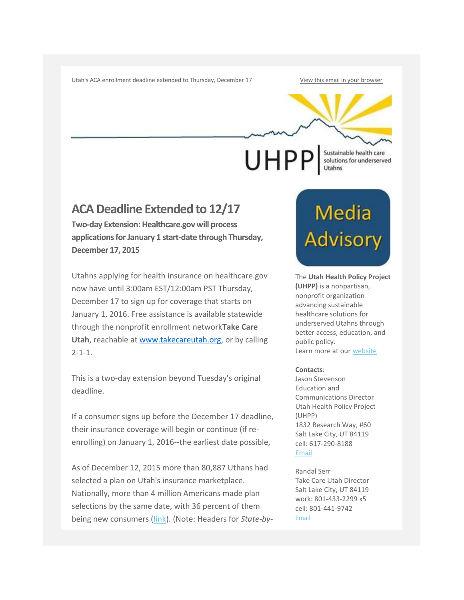Utah's ACA enrollment deadline extended to Thursday, December 17 [View this email in your browser](http://us1.campaign-archive2.com/?u=656a6686e0e46fdadf04f0a2e&id=17797b65e4&e=%5bUNIQID%5d)

**UHPP** 

Sustainable health care<br>solutions for underserved Utahns

# **ACA Deadline Extended to 12/17**

**Two-day Extension: Healthcare.gov will process applications for January 1 start-date through Thursday, December 17, 2015**

Utahns applying for health insurance on healthcare.gov now have until 3:00am EST/12:00am PST Thursday, December 17 to sign up for coverage that starts on January 1, 2016. Free assistance is available statewide through the nonprofit enrollment network**Take Care Utah**, reachable at [www.takecareutah.org,](http://www.takecareutah.org/) or by calling  $2 - 1 - 1$ .

This is a two-day extension beyond Tuesday's original deadline.

If a consumer signs up before the December 17 deadline, their insurance coverage will begin or continue (if reenrolling) on January 1, 2016--the earliest date possible,

As of December 12, 2015 more than 80,887 Uthans had selected a plan on Utah's insurance marketplace. Nationally, more than 4 million Americans made plan selections by the same date, with 36 percent of them being new consumers [\(link\)](https://www.cms.gov/Newsroom/MediaReleaseDatabase/Fact-sheets/2015-Fact-sheets-items/2015-12-16.html). (Note: Headers for *State-by-*

# **Media** Advisory

The **Utah Health Policy Project (UHPP)** is a nonpartisan, nonprofit organization advancing sustainable healthcare solutions for underserved Utahns through better access, education, and public policy. Learn more at our [website](http://www.healthpolicyproject.org/)

#### **Contacts**:

Jason Stevenson Education and Communications Director Utah Health Policy Project (UHPP) 1832 Research Way, #60 Salt Lake City, UT 84119 cell: 617-290-8188 [Email](mailto:stevenson@healthpolicyproject.org?subject=re%3A%20Media%20Advisory)

Randal Serr Take Care Utah Director Salt Lake City, UT 84119 work: 801-433-2299 x5 cell: 801-441-9742 [Email](mailto:randal@healthpolicyproject.org?subject=re%3A%20Media%20Advisory)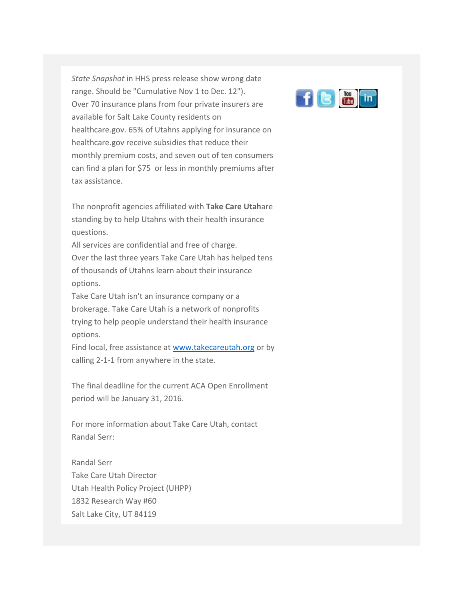*State Snapshot* in HHS press release show wrong date range. Should be "Cumulative Nov 1 to Dec. 12"). Over 70 insurance plans from four private insurers are available for Salt Lake County residents on healthcare.gov. 65% of Utahns applying for insurance on healthcare.gov receive subsidies that reduce their monthly premium costs, and seven out of ten consumers can find a plan for \$75 or less in monthly premiums after tax assistance.

The nonprofit agencies affiliated with **Take Care Utah**are standing by to help Utahns with their health insurance questions.

All services are confidential and free of charge. Over the last three years Take Care Utah has helped tens of thousands of Utahns learn about their insurance options.

Take Care Utah isn't an insurance company or a brokerage. Take Care Utah is a network of nonprofits trying to help people understand their health insurance options.

Find local, free assistance at [www.takecareutah.org](http://www.takecareutah.org/) or by calling 2-1-1 from anywhere in the state.

The final deadline for the current ACA Open Enrollment period will be January 31, 2016.

For more information about Take Care Utah, contact Randal Serr:

Randal Serr Take Care Utah Director Utah Health Policy Project (UHPP) 1832 Research Way #60 Salt Lake City, UT 84119

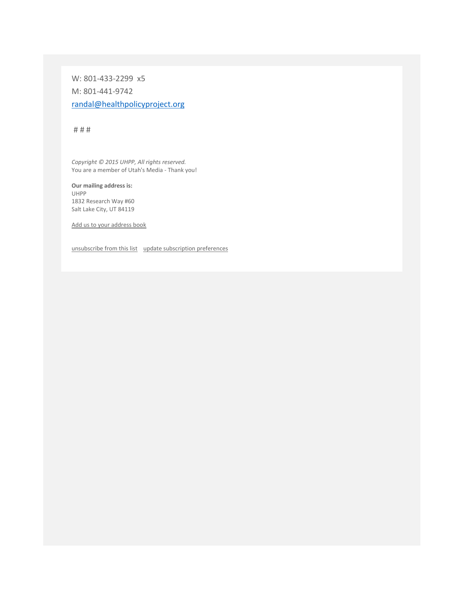W: 801-433-2299 x5 M: 801-441-9742 [randal@healthpolicyproject.org](mailto:randal@healthpolicyproject.org)

# # #

*Copyright © 2015 UHPP, All rights reserved.* You are a member of Utah's Media - Thank you!

**Our mailing address is:** UHPP 1832 Research Way #60 Salt Lake City, UT 84119

[Add us to your address book](http://healthpolicyproject.us1.list-manage.com/vcard?u=656a6686e0e46fdadf04f0a2e&id=6ef8d630cc)

[unsubscribe from this list](http://healthpolicyproject.us1.list-manage.com/unsubscribe?u=656a6686e0e46fdadf04f0a2e&id=6ef8d630cc&e=%5bUNIQID%5d&c=17797b65e4) [update subscription preferences](http://healthpolicyproject.us1.list-manage.com/profile?u=656a6686e0e46fdadf04f0a2e&id=6ef8d630cc&e=%5bUNIQID%5d)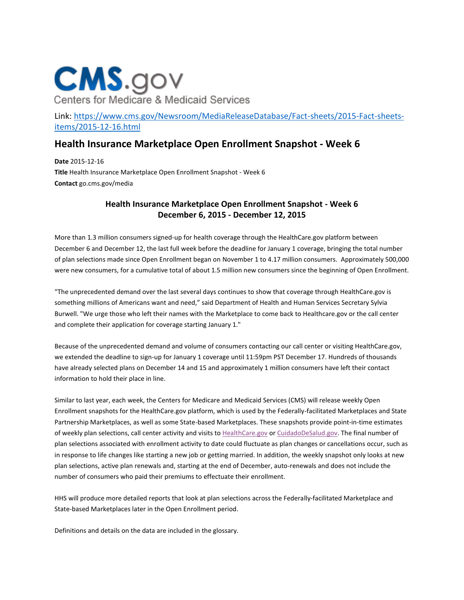# **CMS.gov** Centers for Medicare & Medicaid Services

Link: [https://www.cms.gov/Newsroom/MediaReleaseDatabase/Fact-sheets/2015-Fact-sheets](https://www.cms.gov/Newsroom/MediaReleaseDatabase/Fact-sheets/2015-Fact-sheets-items/2015-12-16.html)[items/2015-12-16.html](https://www.cms.gov/Newsroom/MediaReleaseDatabase/Fact-sheets/2015-Fact-sheets-items/2015-12-16.html)

# **Health Insurance Marketplace Open Enrollment Snapshot - Week 6**

**Date** 2015-12-16 **Title** Health Insurance Marketplace Open Enrollment Snapshot - Week 6 **Contact** go.cms.gov/media

## **Health Insurance Marketplace Open Enrollment Snapshot - Week 6 December 6, 2015 - December 12, 2015**

More than 1.3 million consumers signed-up for health coverage through the HealthCare.gov platform between December 6 and December 12, the last full week before the deadline for January 1 coverage, bringing the total number of plan selections made since Open Enrollment began on November 1 to 4.17 million consumers. Approximately 500,000 were new consumers, for a cumulative total of about 1.5 million new consumers since the beginning of Open Enrollment.

"The unprecedented demand over the last several days continues to show that coverage through HealthCare.gov is something millions of Americans want and need," said Department of Health and Human Services Secretary Sylvia Burwell. "We urge those who left their names with the Marketplace to come back to Healthcare.gov or the call center and complete their application for coverage starting January 1."

Because of the unprecedented demand and volume of consumers contacting our call center or visiting HealthCare.gov, we extended the deadline to sign-up for January 1 coverage until 11:59pm PST December 17. Hundreds of thousands have already selected plans on December 14 and 15 and approximately 1 million consumers have left their contact information to hold their place in line.

Similar to last year, each week, the Centers for Medicare and Medicaid Services (CMS) will release weekly Open Enrollment snapshots for the HealthCare.gov platform, which is used by the Federally-facilitated Marketplaces and State Partnership Marketplaces, as well as some State-based Marketplaces. These snapshots provide point-in-time estimates of weekly plan selections, call center activity and visits to [HealthCare.gov](https://www.healthcare.gov/) or [CuidadoDeSalud.gov.](https://www.cuidadodesalud.gov/es/) The final number of plan selections associated with enrollment activity to date could fluctuate as plan changes or cancellations occur, such as in response to life changes like starting a new job or getting married. In addition, the weekly snapshot only looks at new plan selections, active plan renewals and, starting at the end of December, auto-renewals and does not include the number of consumers who paid their premiums to effectuate their enrollment.

HHS will produce more detailed reports that look at plan selections across the Federally-facilitated Marketplace and State-based Marketplaces later in the Open Enrollment period.

Definitions and details on the data are included in the glossary.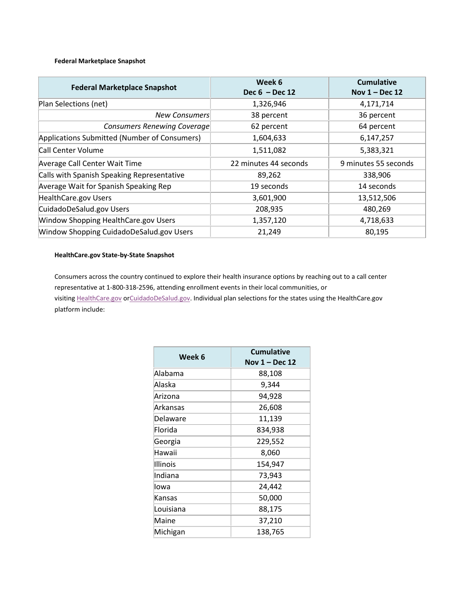### **Federal Marketplace Snapshot**

| <b>Federal Marketplace Snapshot</b>          | Week 6<br>Dec $6$ – Dec 12 | <b>Cumulative</b><br>Nov $1 - Dec 12$ |
|----------------------------------------------|----------------------------|---------------------------------------|
| Plan Selections (net)                        | 1,326,946                  | 4,171,714                             |
| <b>New Consumers</b>                         | 38 percent                 | 36 percent                            |
| <b>Consumers Renewing Coverage</b>           | 62 percent                 | 64 percent                            |
| Applications Submitted (Number of Consumers) | 1,604,633                  | 6,147,257                             |
| Call Center Volume                           | 1,511,082                  | 5,383,321                             |
| Average Call Center Wait Time                | 22 minutes 44 seconds      | 9 minutes 55 seconds                  |
| Calls with Spanish Speaking Representative   | 89,262                     | 338,906                               |
| Average Wait for Spanish Speaking Rep        | 19 seconds                 | 14 seconds                            |
| <b>HealthCare.gov Users</b>                  | 3,601,900                  | 13,512,506                            |
| CuidadoDeSalud.gov Users                     | 208,935                    | 480,269                               |
| Window Shopping HealthCare.gov Users         | 1,357,120                  | 4,718,633                             |
| Window Shopping CuidadoDeSalud.gov Users     | 21,249                     | 80,195                                |

### **HealthCare.gov State-by-State Snapshot**

Consumers across the country continued to explore their health insurance options by reaching out to a call center representative at 1-800-318-2596, attending enrollment events in their local communities, or visiting [HealthCare.gov](https://www.healthcare.gov/) o[rCuidadoDeSalud.gov.](https://www.cuidadodesalud.gov/es/) Individual plan selections for the states using the HealthCare.gov platform include:

| Week 6    | <b>Cumulative</b><br>Nov $1 -$ Dec 12 |  |
|-----------|---------------------------------------|--|
| Alabama   | 88,108                                |  |
| Alaska    | 9,344                                 |  |
| Arizona   | 94,928                                |  |
| Arkansas  | 26,608                                |  |
| Delaware  | 11,139                                |  |
| Florida   | 834,938                               |  |
| Georgia   | 229,552                               |  |
| Hawaii    | 8,060                                 |  |
| Illinois  | 154,947                               |  |
| Indiana   | 73,943                                |  |
| Iowa      | 24,442                                |  |
| Kansas    | 50,000                                |  |
| Louisiana | 88,175                                |  |
| Maine     | 37,210                                |  |
| Michigan  | 138,765                               |  |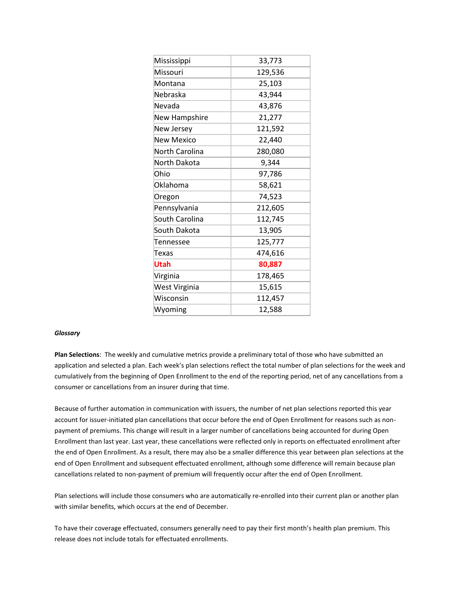| Mississippi           | 33,773  |  |
|-----------------------|---------|--|
| Missouri              | 129,536 |  |
| Montana               | 25,103  |  |
| Nebraska              | 43,944  |  |
| Nevada                | 43,876  |  |
| New Hampshire         | 21,277  |  |
| New Jersey            | 121,592 |  |
| New Mexico            | 22,440  |  |
| <b>North Carolina</b> | 280,080 |  |
| North Dakota          | 9,344   |  |
| Ohio                  | 97,786  |  |
| Oklahoma              | 58,621  |  |
| Oregon                | 74,523  |  |
| Pennsylvania          | 212,605 |  |
| South Carolina        | 112,745 |  |
| South Dakota          | 13,905  |  |
| Tennessee             | 125,777 |  |
| Texas                 | 474,616 |  |
| Utah                  | 80,887  |  |
| Virginia              | 178,465 |  |
| West Virginia         | 15,615  |  |
| Wisconsin             | 112,457 |  |
| Wyoming               | 12,588  |  |

#### *Glossary*

**Plan Selections**: The weekly and cumulative metrics provide a preliminary total of those who have submitted an application and selected a plan. Each week's plan selections reflect the total number of plan selections for the week and cumulatively from the beginning of Open Enrollment to the end of the reporting period, net of any cancellations from a consumer or cancellations from an insurer during that time.

Because of further automation in communication with issuers, the number of net plan selections reported this year account for issuer-initiated plan cancellations that occur before the end of Open Enrollment for reasons such as nonpayment of premiums. This change will result in a larger number of cancellations being accounted for during Open Enrollment than last year. Last year, these cancellations were reflected only in reports on effectuated enrollment after the end of Open Enrollment. As a result, there may also be a smaller difference this year between plan selections at the end of Open Enrollment and subsequent effectuated enrollment, although some difference will remain because plan cancellations related to non-payment of premium will frequently occur after the end of Open Enrollment.

Plan selections will include those consumers who are automatically re-enrolled into their current plan or another plan with similar benefits, which occurs at the end of December.

To have their coverage effectuated, consumers generally need to pay their first month's health plan premium. This release does not include totals for effectuated enrollments.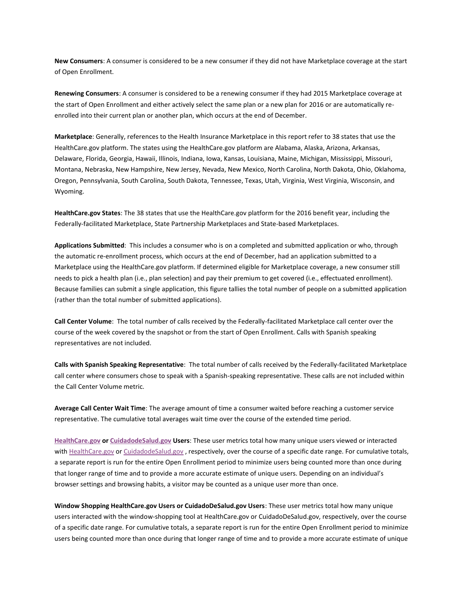**New Consumers**: A consumer is considered to be a new consumer if they did not have Marketplace coverage at the start of Open Enrollment.

**Renewing Consumers**: A consumer is considered to be a renewing consumer if they had 2015 Marketplace coverage at the start of Open Enrollment and either actively select the same plan or a new plan for 2016 or are automatically reenrolled into their current plan or another plan, which occurs at the end of December.

**Marketplace**: Generally, references to the Health Insurance Marketplace in this report refer to 38 states that use the HealthCare.gov platform. The states using the HealthCare.gov platform are Alabama, Alaska, Arizona, Arkansas, Delaware, Florida, Georgia, Hawaii, Illinois, Indiana, Iowa, Kansas, Louisiana, Maine, Michigan, Mississippi, Missouri, Montana, Nebraska, New Hampshire, New Jersey, Nevada, New Mexico, North Carolina, North Dakota, Ohio, Oklahoma, Oregon, Pennsylvania, South Carolina, South Dakota, Tennessee, Texas, Utah, Virginia, West Virginia, Wisconsin, and Wyoming.

**HealthCare.gov States**: The 38 states that use the HealthCare.gov platform for the 2016 benefit year, including the Federally-facilitated Marketplace, State Partnership Marketplaces and State-based Marketplaces.

**Applications Submitted**: This includes a consumer who is on a completed and submitted application or who, through the automatic re-enrollment process, which occurs at the end of December, had an application submitted to a Marketplace using the HealthCare.gov platform. If determined eligible for Marketplace coverage, a new consumer still needs to pick a health plan (i.e., plan selection) and pay their premium to get covered (i.e., effectuated enrollment). Because families can submit a single application, this figure tallies the total number of people on a submitted application (rather than the total number of submitted applications).

**Call Center Volume**: The total number of calls received by the Federally-facilitated Marketplace call center over the course of the week covered by the snapshot or from the start of Open Enrollment. Calls with Spanish speaking representatives are not included.

**Calls with Spanish Speaking Representative**: The total number of calls received by the Federally-facilitated Marketplace call center where consumers chose to speak with a Spanish-speaking representative. These calls are not included within the Call Center Volume metric.

**Average Call Center Wait Time**: The average amount of time a consumer waited before reaching a customer service representative. The cumulative total averages wait time over the course of the extended time period.

**[HealthCare.gov](https://www.healthcare.gov/) or [CuidadodeSalud.gov](https://www.cuidadodesalud.gov/es/) Users**: These user metrics total how many unique users viewed or interacted with [HealthCare.gov](https://www.healthcare.gov/) or [CuidadodeSalud.gov](https://www.cuidadodesalud.gov/es/) , respectively, over the course of a specific date range. For cumulative totals, a separate report is run for the entire Open Enrollment period to minimize users being counted more than once during that longer range of time and to provide a more accurate estimate of unique users. Depending on an individual's browser settings and browsing habits, a visitor may be counted as a unique user more than once.

**Window Shopping HealthCare.gov Users or CuidadoDeSalud.gov Users**: These user metrics total how many unique users interacted with the window-shopping tool at HealthCare.gov or CuidadoDeSalud.gov, respectively, over the course of a specific date range. For cumulative totals, a separate report is run for the entire Open Enrollment period to minimize users being counted more than once during that longer range of time and to provide a more accurate estimate of unique